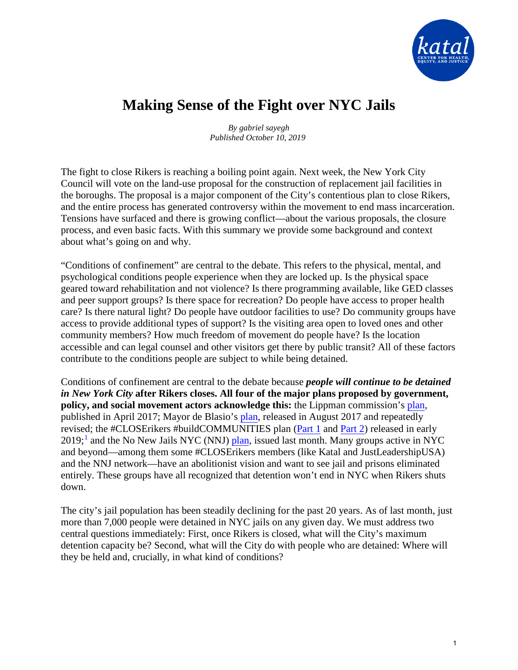

# **Making Sense of the Fight over NYC Jails**

*By gabriel sayegh Published October 10, 2019*

The fight to close Rikers is reaching a boiling point again. Next week, the New York City Council will vote on the land-use proposal for the construction of replacement jail facilities in the boroughs. The proposal is a major component of the City's contentious plan to close Rikers, and the entire process has generated controversy within the movement to end mass incarceration. Tensions have surfaced and there is growing conflict—about the various proposals, the closure process, and even basic facts. With this summary we provide some background and context about what's going on and why.

"Conditions of confinement" are central to the debate. This refers to the physical, mental, and psychological conditions people experience when they are locked up. Is the physical space geared toward rehabilitation and not violence? Is there programming available, like GED classes and peer support groups? Is there space for recreation? Do people have access to proper health care? Is there natural light? Do people have outdoor facilities to use? Do community groups have access to provide additional types of support? Is the visiting area open to loved ones and other community members? How much freedom of movement do people have? Is the location accessible and can legal counsel and other visitors get there by public transit? All of these factors contribute to the conditions people are subject to while being detained.

Conditions of confinement are central to the debate because *people will continue to be detained in New York City* **after Rikers closes. All four of the major plans proposed by government, policy, and social movement actors acknowledge this:** the Lippman commission's [plan,](https://static1.squarespace.com/static/5b6de4731aef1de914f43628/t/5b96c6f81ae6cf5e9c5f186d/1536607993842/Lippman%2BCommission%2BReport%2BFINAL%2BSingles.pdf) published in April 2017; Mayor de Blasio's [plan,](https://rikers.cityofnewyork.us/the-plan/) released in August 2017 and repeatedly revised; the #CLOSErikers #buildCOMMUNITIES plan [\(Part 1](https://jlusa.org/wp-content/uploads/2019/08/This-Is-How-We-Will-CLOSErikers-by-2024-8.12.19.pdf) and [Part 2\)](https://jlusa.org/wp-content/uploads/2019/01/buildCOMMUNITIES-platform.pdf) released in early 20[1](#page-1-0)9;<sup>1</sup> and the No New Jails NYC (NNJ) [plan,](https://www.nonewjails.nyc/no-new-jails-close-rikers-now-we-keep-us-safe-guide) issued last month. Many groups active in NYC and beyond—among them some #CLOSErikers members (like Katal and JustLeadershipUSA) and the NNJ network—have an abolitionist vision and want to see jail and prisons eliminated entirely. These groups have all recognized that detention won't end in NYC when Rikers shuts down.

The city's jail population has been steadily declining for the past 20 years. As of last month, just more than 7,000 people were detained in NYC jails on any given day. We must address two central questions immediately: First, once Rikers is closed, what will the City's maximum detention capacity be? Second, what will the City do with people who are detained: Where will they be held and, crucially, in what kind of conditions?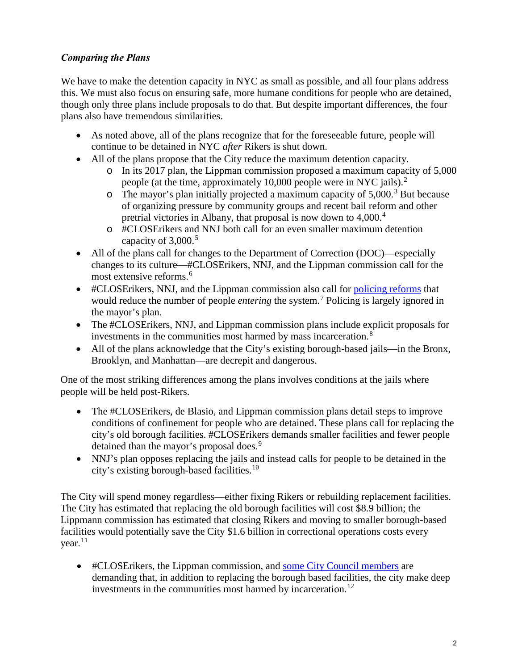# *Comparing the Plans*

We have to make the detention capacity in NYC as small as possible, and all four plans address this. We must also focus on ensuring safe, more humane conditions for people who are detained, though only three plans include proposals to do that. But despite important differences, the four plans also have tremendous similarities.

- As noted above, all of the plans recognize that for the foreseeable future, people will continue to be detained in NYC *after* Rikers is shut down.
- All of the plans propose that the City reduce the maximum detention capacity.
	- o In its 2017 plan, the Lippman commission proposed a maximum capacity of 5,000 people (at the time, approximately 10,000 people were in NYC jails). $^2$  $^2$
	- $\circ$  The mayor's plan initially projected a maximum capacity of 5,000.<sup>[3](#page-1-2)</sup> But because of organizing pressure by community groups and recent bail reform and other pretrial victories in Albany, that proposal is now down to [4](#page-1-3),000.<sup>4</sup>
	- o #CLOSErikers and NNJ both call for an even smaller maximum detention capacity of  $3,000$ .<sup>[5](#page-1-4)</sup>
- All of the plans call for changes to the Department of Correction (DOC)—especially changes to its culture—#CLOSErikers, NNJ, and the Lippman commission call for the most extensive reforms. [6](#page-1-5)
- #CLOSErikers, NNJ, and the Lippman commission also call for [policing reforms](https://jlusa.org/wp-content/uploads/2019/01/buildCOMMUNITIES-platform.pdf) that would reduce the number of people *entering* the system. [7](#page-2-0) Policing is largely ignored in the mayor's plan.
- The #CLOSErikers, NNJ, and Lippman commission plans include explicit proposals for investments in the communities most harmed by mass incarceration.<sup>[8](#page-2-1)</sup>
- All of the plans acknowledge that the City's existing borough-based jails—in the Bronx, Brooklyn, and Manhattan—are decrepit and dangerous.

<span id="page-1-1"></span><span id="page-1-0"></span>One of the most striking differences among the plans involves conditions at the jails where people will be held post-Rikers.

- The #CLOSE rikers, de Blasio, and Lippman commission plans detail steps to improve conditions of confinement for people who are detained. These plans call for replacing the city's old borough facilities. #CLOSErikers demands smaller facilities and fewer people detained than the mayor's proposal does.<sup>[9](#page-2-2)</sup>
- NNJ's plan opposes replacing the jails and instead calls for people to be detained in the city's existing borough-based facilities.[10](#page-2-3)

<span id="page-1-3"></span><span id="page-1-2"></span>The City will spend money regardless—either fixing Rikers or rebuilding replacement facilities. The City has estimated that replacing the old borough facilities will cost \$8.9 billion; the Lippmann commission has estimated that closing Rikers and moving to smaller borough-based facilities would potentially save the City \$1.6 billion in correctional operations costs every  $year<sup>11</sup>$ 

<span id="page-1-5"></span><span id="page-1-4"></span>• #CLOSErikers, the Lippman commission, and [some City Council members](https://nycprogressives.com/2019/10/07/progressive-caucus-sends-letter-to-mayor-demanding-policy-changes-and-investments-around-borough-based-jail-plan/) are demanding that, in addition to replacing the borough based facilities, the city make deep investments in the communities most harmed by incarceration.<sup>[12](#page-2-5)</sup>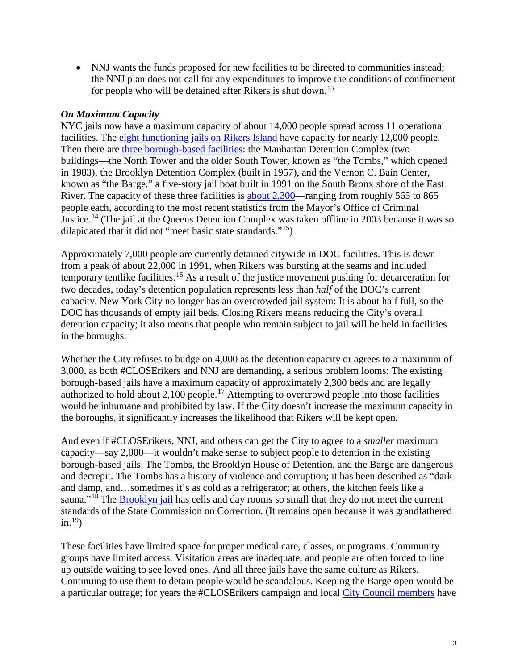• NNJ wants the funds proposed for new facilities to be directed to communities instead; the NNJ plan does not call for any expenditures to improve the conditions of confinement for people who will be detained after Rikers is shut down.<sup>[13](#page-2-6)</sup>

## <span id="page-2-1"></span><span id="page-2-0"></span>*On Maximum Capacity*

<span id="page-2-2"></span>NYC jails now have a maximum capacity of about 14,000 people spread across 11 operational facilities. The [eight functioning jails on Rikers Island](https://www1.nyc.gov/site/doc/about/about-doc.page) have capacity for nearly 12,000 people. Then there are [three borough-based facilities:](https://www1.nyc.gov/site/doc/about/facilities.page) the Manhattan Detention Complex (two buildings—the North Tower and the older South Tower, known as "the Tombs," which opened in 1983), the Brooklyn Detention Complex (built in 1957), and the Vernon C. Bain Center, known as "the Barge," a five-story jail boat built in 1991 on the South Bronx shore of the East River. The capacity of these three facilities is [about 2,300—](https://criminaljustice.cityofnewyork.us/programs/closing-rikers-island/)ranging from roughly 565 to 865 people each, according to the most recent statistics from the Mayor's Office of Criminal Justice.[14](#page-2-7) (The jail at the Queens Detention Complex was taken offline in 2003 because it was so dilapidated that it did not "meet basic state standards."[15](#page-2-8))

<span id="page-2-8"></span><span id="page-2-7"></span><span id="page-2-6"></span><span id="page-2-5"></span><span id="page-2-4"></span><span id="page-2-3"></span>Approximately 7,000 people are currently detained citywide in DOC facilities. This is down from a peak of about 22,000 in 1991, when Rikers was bursting at the seams and included temporary tentlike facilities.<sup>[16](#page-2-9)</sup> As a result of the justice movement pushing for decarceration for two decades, today's detention population represents less than *half* of the DOC's current capacity. New York City no longer has an overcrowded jail system: It is about half full, so the DOC has thousands of empty jail beds. Closing Rikers means reducing the City's overall detention capacity; it also means that people who remain subject to jail will be held in facilities in the boroughs.

<span id="page-2-12"></span><span id="page-2-11"></span><span id="page-2-10"></span><span id="page-2-9"></span>Whether the City refuses to budge on 4,000 as the detention capacity or agrees to a maximum of 3,000, as both #CLOSErikers and NNJ are demanding, a serious problem looms: The existing borough-based jails have a maximum capacity of approximately 2,300 beds and are legally authorized to hold about 2,100 people.<sup>17</sup> Attempting to overcrowd people into those facilities would be inhumane and prohibited by law. If the City doesn't increase the maximum capacity in the boroughs, it significantly increases the likelihood that Rikers will be kept open.

<span id="page-2-14"></span><span id="page-2-13"></span>And even if #CLOSErikers, NNJ, and others can get the City to agree to a *smaller* maximum capacity—say 2,000—it wouldn't make sense to subject people to detention in the existing borough-based jails. The Tombs, the Brooklyn House of Detention, and the Barge are dangerous and decrepit. The Tombs has a history of violence and corruption; it has been described as "dark and damp, and…sometimes it's as cold as a refrigerator; at others, the kitchen feels like a sauna."<sup>[18](#page-2-11)</sup> The [Brooklyn jail](http://www.thelmagazine.com/2012/02/armin-goes-to-jail/) has cells and day rooms so small that they do not meet the current standards of the State Commission on Correction. (It remains open because it was grandfathered in. [19](#page-2-12))

<span id="page-2-15"></span>These facilities have limited space for proper medical care, classes, or programs. Community groups have limited access. Visitation areas are inadequate, and people are often forced to line up outside waiting to see loved ones. And all three jails have the same culture as Rikers. Continuing to use them to detain people would be scandalous. Keeping the Barge open would be a particular outrage; for years the #CLOSErikers campaign and local [City Council members](https://www.cityandstateny.com/articles/opinion/opinion/close-bronxs-jail-barge.html) have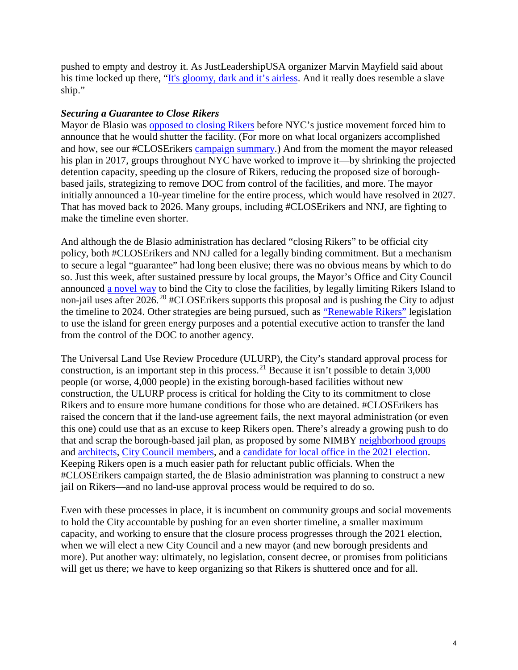pushed to empty and destroy it. As JustLeadershipUSA organizer Marvin Mayfield said about his time locked up there, ["It's gloomy, dark and it's airless.](https://pix11.com/2018/05/03/advocates-rally-to-sink-nycs-floating-jail/) And it really does resemble a slave ship."

### *Securing a Guarantee to Close Rikers*

Mayor de Blasio was [opposed to closing Rikers](https://www.nytimes.com/2016/02/17/nyregion/de-blasio-says-idea-of-closing-rikers-jail-complex-is-unrealistic.html) before NYC's justice movement forced him to announce that he would shutter the facility. (For more on what local organizers accomplished and how, see our #CLOSErikers [campaign summary.\)](https://d3n8a8pro7vhmx.cloudfront.net/katal/pages/1742/attachments/original/1546756046/Katal_CLOSErikers_Campaign_Report_PRINT_-_final.pdf?1546756046) And from the moment the mayor released his plan in 2017, groups throughout NYC have worked to improve it—by shrinking the projected detention capacity, speeding up the closure of Rikers, reducing the proposed size of boroughbased jails, strategizing to remove DOC from control of the facilities, and more. The mayor initially announced a 10-year timeline for the entire process, which would have resolved in 2027. That has moved back to 2026. Many groups, including #CLOSErikers and NNJ, are fighting to make the timeline even shorter.

And although the de Blasio administration has declared "closing Rikers" to be official city policy, both #CLOSErikers and NNJ called for a legally binding commitment. But a mechanism to secure a legal "guarantee" had long been elusive; there was no obvious means by which to do so. Just this week, after sustained pressure by local groups, the Mayor's Office and City Council announced [a novel way](https://www.ny1.com/nyc/all-boroughs/politics/2019/10/09/rikers-island-no-new-jails-nyc-to-propose-plan-to-legally-codify-closure) to bind the City to close the facilities, by legally limiting Rikers Island to non-jail uses after [20](#page-2-13)26.<sup>20</sup> #CLOSErikers supports this proposal and is pushing the City to adjust the timeline to 2024. Other strategies are being pursued, such as ["Renewable Rikers"](https://ny.curbed.com/2019/6/11/18659909/nyc-rikers-island-solar-field-water-treatment-facility-council-bills) legislation to use the island for green energy purposes and a potential executive action to transfer the land from the control of the DOC to another agency.

The Universal Land Use Review Procedure (ULURP), the City's standard approval process for construction, is an important step in this process. [21](#page-2-14) Because it isn't possible to detain 3,000 people (or worse, 4,000 people) in the existing borough-based facilities without new construction, the ULURP process is critical for holding the City to its commitment to close Rikers and to ensure more humane conditions for those who are detained. #CLOSErikers has raised the concern that if the land-use agreement fails, the next mayoral administration (or even this one) could use that as an excuse to keep Rikers open. There's already a growing push to do that and scrap the borough-based jail plan, as proposed by some NIMBY [neighborhood groups](https://www.qchron.com/editions/central/opponents-of-new-neighborhood-jails-propose-ferry-system-to-save/article_2a37c3b2-e6e7-11e9-9060-8f25b7f353e4.html) and [architects,](https://nypost.com/2019/10/06/architects-make-case-against-de-blasios-plan-for-city-jails/) [City Council members,](https://www.facebook.com/plugins/post.php?href=https%3A%2F%2Fwww.facebook.com%2Fbobholdencitycouncil%2Fposts%2F2690593097652104) and a [candidate for local office in the 2021 election.](https://qns.com/story/2019/10/07/former-queens-senator-confirms-city-council-run-and-protests-against-citys-community-based-jails-plan/)  Keeping Rikers open is a much easier path for reluctant public officials. When the #CLOSErikers campaign started, the de Blasio administration was planning to construct a new jail on Rikers—and no land-use approval process would be required to do so.

Even with these processes in place, it is incumbent on community groups and social movements to hold the City accountable by pushing for an even shorter timeline, a smaller maximum capacity, and working to ensure that the closure process progresses through the 2021 election, when we will elect a new City Council and a new mayor (and new borough presidents and more). Put another way: ultimately, no legislation, consent decree, or promises from politicians will get us there; we have to keep organizing so that Rikers is shuttered once and for all.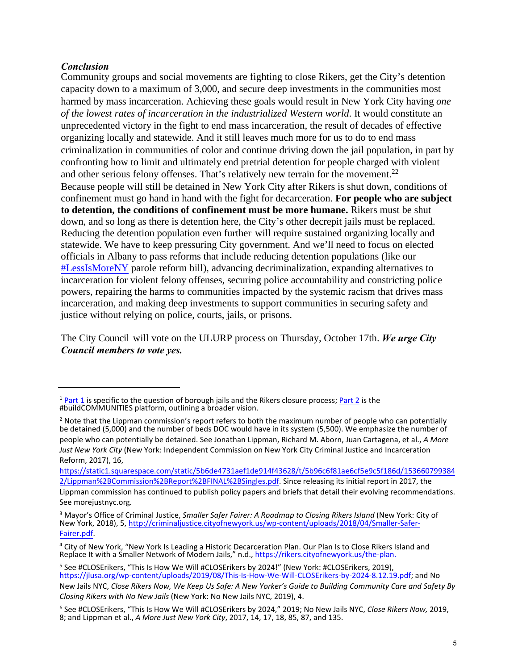### *Conclusion*

Community groups and social movements are fighting to close Rikers, get the City's detention capacity down to a maximum of 3,000, and secure deep investments in the communities most harmed by mass incarceration. Achieving these goals would result in New York City having *one of the lowest rates of incarceration in the industrialized Western world*. It would constitute an unprecedented victory in the fight to end mass incarceration, the result of decades of effective organizing locally and statewide. And it still leaves much more for us to do to end mass criminalization in communities of color and continue driving down the jail population, in part by confronting how to limit and ultimately end pretrial detention for people charged with violent and other serious felony offenses. That's relatively new terrain for the movement.<sup>[22](#page-2-15)</sup> Because people will still be detained in New York City after Rikers is shut down, conditions of confinement must go hand in hand with the fight for decarceration. **For people who are subject to detention, the conditions of confinement must be more humane.** Rikers must be shut down, and so long as there is detention here, the City's other decrepit jails must be replaced. Reducing the detention population even further will require sustained organizing locally and statewide. We have to keep pressuring City government. And we'll need to focus on elected officials in Albany to pass reforms that include reducing detention populations (like our [#LessIsMoreNY](https://www.katalcenter.org/lessismoreny) parole reform bill), advancing decriminalization, expanding alternatives to incarceration for violent felony offenses, securing police accountability and constricting police powers, repairing the harms to communities impacted by the systemic racism that drives mass incarceration, and making deep investments to support communities in securing safety and justice without relying on police, courts, jails, or prisons.

The City Council will vote on the ULURP process on Thursday, October 17th. *We urge City Council members to vote yes.*

<sup>&</sup>lt;sup>1</sup> [Part 1](https://jlusa.org/wp-content/uploads/2019/08/This-Is-How-We-Will-CLOSErikers-by-2024-8.12.19.pdf) is specific to the question of borough jails and the Rikers closure process; [Part 2](https://jlusa.org/wp-content/uploads/2019/01/buildCOMMUNITIES-platform.pdf) is the #buildCOMMUNITIES platform, outlining a broader vision.

 $<sup>2</sup>$  Note that the Lippman commission's report refers to both the maximum number of people who can potentially</sup> be detained (5,000) and the number of beds DOC would have in its system (5,500). We emphasize the number of people who can potentially be detained. See Jonathan Lippman, Richard M. Aborn, Juan Cartagena, et al., *A More Just New York City* [\(New York: Independent Commission on New York City Criminal](https://static1.squarespace.com/static/5b6de4731aef1de914f43628/t/5b96c6f81ae6cf5e9c5f186d/1536607993842/Lippman%2BCommission%2BReport%2BFINAL%2BSingles.pdf) Justice and Incarceration [Reform, 2017\),](https://static1.squarespace.com/static/5b6de4731aef1de914f43628/t/5b96c6f81ae6cf5e9c5f186d/1536607993842/Lippman%2BCommission%2BReport%2BFINAL%2BSingles.pdf) 16,

https://static1.squarespace.com/static/5b6de4731aef1de914f43628/t/5b96c6f81ae6cf5e9c5f186d/153660799384 2/Lippman%2BCommission%2BReport%2BFINAL%2BSingles.pdf. Since releasing its initial report in 2017, the Lippman commission has continued to publish policy papers and briefs that detail their evolving recommendations. See morejustnyc.or[g](http://criminaljustice.cityofnewyork.us/wp-content/uploads/2018/04/Smaller-Safer-Fairer.pdf)*.*

<sup>3</sup> [Mayor's O](http://criminaljustice.cityofnewyork.us/wp-content/uploads/2018/04/Smaller-Safer-Fairer.pdf)ffice of Criminal Justice, *Smaller Safer Fairer: A Roadmap to Closing Rikers Island* (New York: City of New York, 2018), 5, http://criminaljustice.cityofnewyork.us/wp-content/uploads/2018/04/Smaller-Safer-Fairer.pdf.

<sup>&</sup>lt;sup>4</sup> City of New York, "New York Is Leading a Historic Decarceration Plan. Our Plan Is to Close Rikers Island and Replace It with a Smaller Network of Modern Jails," n.d., [https://rikers.cityofnewyork.us/the-plan.](https://jlusa.org/wp-content/uploads/2019/08/This-Is-How-We-Will-CLOSErikers-by-2024-8.12.19.pdf)

<sup>&</sup>lt;sup>5</sup> See #CLOSErikers, "This Is How We Will #CLOSErikers by 2024!" (New York: #CLOSErikers, 2019), https://jlusa.org/wp-content/uploads/2019/08/This-Is-How-We-Will-CLOSErikers-by-2024-8.12.19.pdf; and No New Jails NYC, *Close Rikers Now, We Keep Us Safe: A New Yorker's Guide to Building Community Care and Safety By Closing Rikers with No New Jails* (New York: No New Jails NYC, 2019), 4.

<sup>6</sup> See #CLOSErikers, "This Is How We Will #CLOSErikers by 2024," 2019; No New Jails NYC, *Close Rikers Now,* 2019, 8; and Lippman et al., *A More Just New York City*, 2017, 14, 17, 18, 85, 87, and 135.